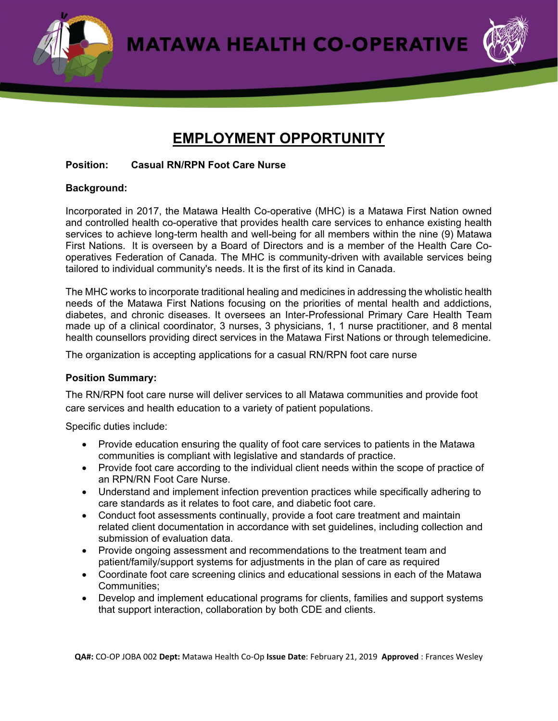**MATAWA HEALTH CO-OPERATIVE** 



# **EMPLOYMENT OPPORTUNITY**

#### **Position: Casual RN/RPN Foot Care Nurse**

### **Background:**

Incorporated in 2017, the Matawa Health Co-operative (MHC) is a Matawa First Nation owned and controlled health co-operative that provides health care services to enhance existing health services to achieve long-term health and well-being for all members within the nine (9) Matawa First Nations. It is overseen by a Board of Directors and is a member of the Health Care Cooperatives Federation of Canada. The MHC is community-driven with available services being tailored to individual community's needs. It is the first of its kind in Canada.

The MHC works to incorporate traditional healing and medicines in addressing the wholistic health needs of the Matawa First Nations focusing on the priorities of mental health and addictions, diabetes, and chronic diseases. It oversees an Inter-Professional Primary Care Health Team made up of a clinical coordinator, 3 nurses, 3 physicians, 1, 1 nurse practitioner, and 8 mental health counsellors providing direct services in the Matawa First Nations or through telemedicine.

The organization is accepting applications for a casual RN/RPN foot care nurse

## **Position Summary:**

The RN/RPN foot care nurse will deliver services to all Matawa communities and provide foot care services and health education to a variety of patient populations.

Specific duties include:

- Provide education ensuring the quality of foot care services to patients in the Matawa communities is compliant with legislative and standards of practice.
- Provide foot care according to the individual client needs within the scope of practice of an RPN/RN Foot Care Nurse.
- Understand and implement infection prevention practices while specifically adhering to care standards as it relates to foot care, and diabetic foot care.
- Conduct foot assessments continually, provide a foot care treatment and maintain related client documentation in accordance with set guidelines, including collection and submission of evaluation data.
- Provide ongoing assessment and recommendations to the treatment team and patient/family/support systems for adjustments in the plan of care as required
- Coordinate foot care screening clinics and educational sessions in each of the Matawa Communities;
- Develop and implement educational programs for clients, families and support systems that support interaction, collaboration by both CDE and clients.